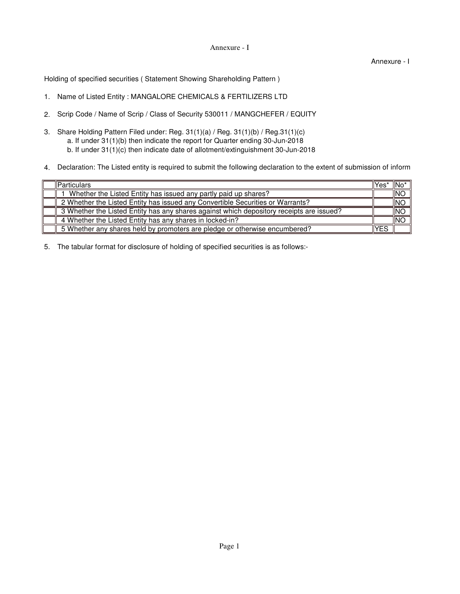## Annexure - I

Annexure - I

Holding of specified securities ( Statement Showing Shareholding Pattern )

- 1. Name of Listed Entity : MANGALORE CHEMICALS & FERTILIZERS LTD
- 2. Scrip Code / Name of Scrip / Class of Security 530011 / MANGCHEFER / EQUITY
- 3. Share Holding Pattern Filed under: Reg. 31(1)(a) / Reg. 31(1)(b) / Reg.31(1)(c) b. If under 31(1)(c) then indicate date of allotment/extinguishment 30-Jun-2018 a. If under 31(1)(b) then indicate the report for Quarter ending 30-Jun-2018
- 4. Declaration: The Listed entity is required to submit the following declaration to the extent of submission of inform

| <b>IParticulars</b>                                                                      | llYes' | ∥No*       |
|------------------------------------------------------------------------------------------|--------|------------|
| Whether the Listed Entity has issued any partly paid up shares?                          |        | <b>INO</b> |
| 2 Whether the Listed Entity has issued any Convertible Securities or Warrants?           |        | <b>INO</b> |
| 3 Whether the Listed Entity has any shares against which depository receipts are issued? |        | INO        |
| 4 Whether the Listed Entity has any shares in locked-in?                                 |        | INO        |
| 5 Whether any shares held by promoters are pledge or otherwise encumbered?               | YES    |            |

5. The tabular format for disclosure of holding of specified securities is as follows:-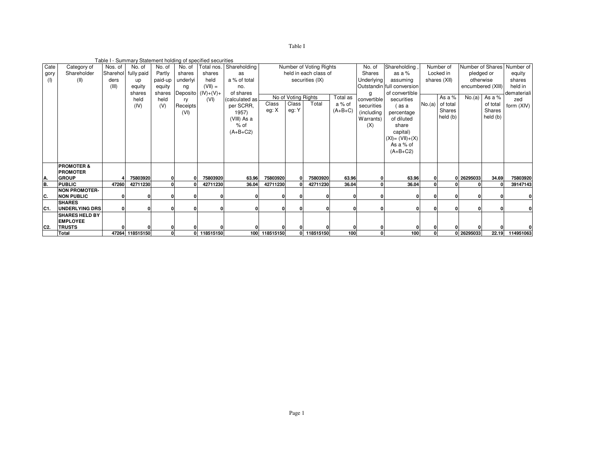| Table I |  |
|---------|--|
|         |  |

|                |                       |          |                 |         |          | Table I - Summary Statement holding of specified securities |                |               |                     |                         |           |                   |                            |        |              |                   |                  |                 |
|----------------|-----------------------|----------|-----------------|---------|----------|-------------------------------------------------------------|----------------|---------------|---------------------|-------------------------|-----------|-------------------|----------------------------|--------|--------------|-------------------|------------------|-----------------|
| Cate           | Category of           | Nos. of  | No. of          | No. of  | No. of   | Total nos.                                                  | Shareholding   |               |                     | Number of Voting Rights |           | No. of            | Shareholding,              |        | Number of    |                   | Number of Shares | Number of       |
| gory           | Shareholder           | Sharehol | fully paid      | Partly  | shares   | shares                                                      | as             |               |                     | held in each class of   |           | <b>Shares</b>     | as a $%$                   |        | Locked in    | pledged or        |                  | equity          |
| (1)            | (II)                  | ders     | up              | paid-up | underlyi | held                                                        | a % of total   |               |                     | securities (IX)         |           | <b>Underlying</b> | assuming                   |        | shares (XII) | otherwise         |                  | shares          |
|                |                       | (III)    | equity          | equity  | ng       | $(VII) =$                                                   | no.            |               |                     |                         |           |                   | Outstandin full conversion |        |              | encumbered (XIII) | held in          |                 |
|                |                       |          | shares          | shares  |          | Deposito (IV)+(V)+                                          | of shares      |               |                     |                         |           | g                 | of convertible             |        |              |                   |                  | demateriali     |
|                |                       |          | held            | held    | ry       | (VI)                                                        | (calculated as |               | No of Voting Rights |                         | Total as  | convertible       | securities                 |        | As a $%$     |                   | No.(a) As a %    | zed             |
|                |                       |          | (IV)            | (V)     | Receipts |                                                             | per SCRR,      | Class         | Class               | Total                   | a % of    | securities        | (as a                      | No.(a) | of total     |                   | of total         | form (XIV)      |
|                |                       |          |                 |         | (VI)     |                                                             | 1957)          | eg: X         | eg: Y               |                         | $(A+B+C)$ | (including        | percentage                 |        | Shares       |                   | Shares           |                 |
|                |                       |          |                 |         |          |                                                             | (VIII) As a    |               |                     |                         |           | Warrants)         | of diluted                 |        | held (b)     |                   | held (b)         |                 |
|                |                       |          |                 |         |          |                                                             | $%$ of         |               |                     |                         |           | (X)               | share                      |        |              |                   |                  |                 |
|                |                       |          |                 |         |          |                                                             | $(A+B+C2)$     |               |                     |                         |           |                   | capital)                   |        |              |                   |                  |                 |
|                |                       |          |                 |         |          |                                                             |                |               |                     |                         |           |                   | $(XI) = (VII) + (X)$       |        |              |                   |                  |                 |
|                |                       |          |                 |         |          |                                                             |                |               |                     |                         |           |                   |                            |        |              |                   |                  |                 |
|                |                       |          |                 |         |          |                                                             |                |               |                     |                         |           |                   | As a % of                  |        |              |                   |                  |                 |
|                |                       |          |                 |         |          |                                                             |                |               |                     |                         |           |                   | $(A+B+C2)$                 |        |              |                   |                  |                 |
|                |                       |          |                 |         |          |                                                             |                |               |                     |                         |           |                   |                            |        |              |                   |                  |                 |
|                | <b>PROMOTER &amp;</b> |          |                 |         |          |                                                             |                |               |                     |                         |           |                   |                            |        |              |                   |                  |                 |
|                | <b>PROMOTER</b>       |          |                 |         |          |                                                             |                |               |                     |                         |           |                   |                            |        |              |                   |                  |                 |
| A.             | <b>GROUP</b>          |          | 75803920        |         |          | 75803920                                                    | 63.96          | 75803920      | $\mathbf{0}$        | 75803920                | 63.96     |                   | 63.96                      |        |              | 26295033          | 34.69            | 75803920        |
| B.             | <b>PUBLIC</b>         | 47260    | 42711230        |         |          | 42711230                                                    | 36.04          | 42711230      |                     | 42711230                | 36.04     |                   | 36.04                      |        |              |                   |                  | 39147143        |
|                | <b>NON PROMOTER-</b>  |          |                 |         |          |                                                             |                |               |                     |                         |           |                   |                            |        |              |                   |                  |                 |
| C.             | <b>NON PUBLIC</b>     |          |                 |         |          |                                                             |                |               |                     |                         |           |                   |                            |        |              |                   |                  | 0               |
|                | <b>SHARES</b>         |          |                 |         |          |                                                             |                |               |                     |                         |           |                   |                            |        |              |                   |                  |                 |
| IC1.           | <b>UNDERLYING DRS</b> |          |                 |         |          |                                                             |                |               |                     |                         |           |                   | O                          |        |              |                   |                  | 0               |
|                | <b>SHARES HELD BY</b> |          |                 |         |          |                                                             |                |               |                     |                         |           |                   |                            |        |              |                   |                  |                 |
|                | <b>EMPLOYEE</b>       |          |                 |         |          |                                                             |                |               |                     |                         |           |                   |                            |        |              |                   |                  |                 |
| C <sub>2</sub> | <b>TRUSTS</b>         |          |                 |         |          |                                                             |                |               |                     |                         |           |                   |                            |        |              |                   |                  |                 |
|                | <b>Total</b>          |          | 47264 118515150 |         |          | 0 118515150                                                 |                | 100 118515150 |                     | 0 118515150             | 100       |                   | 100                        |        |              | 0 26295033        |                  | 22.19 114951063 |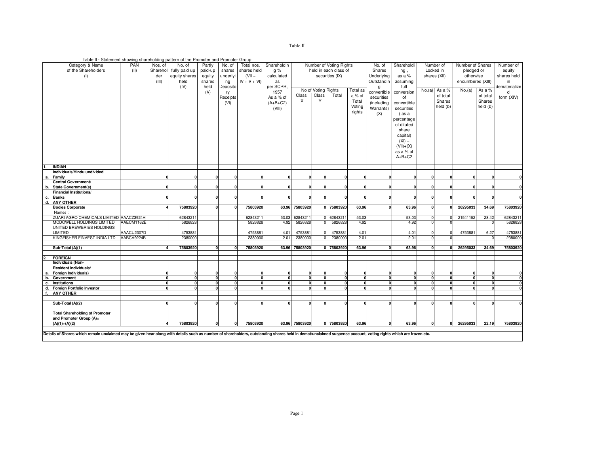| `able П |  |
|---------|--|
|         |  |

| Table II - Statement showing shareholding pattern of the Promoter and Promoter Group |  |  |
|--------------------------------------------------------------------------------------|--|--|
|                                                                                      |  |  |

|                         | Category & Name                                                                                                                                                                                                | PAN        | Nos. of  | No. of                 | Partly       | No. of         | Total nos.     | Shareholdin  |                |                     | Number of Voting Rights |                 | No. of       | Shareholdi  |              | Number of | Number of Shares  |                         | Number of    |
|-------------------------|----------------------------------------------------------------------------------------------------------------------------------------------------------------------------------------------------------------|------------|----------|------------------------|--------------|----------------|----------------|--------------|----------------|---------------------|-------------------------|-----------------|--------------|-------------|--------------|-----------|-------------------|-------------------------|--------------|
|                         | of the Shareholders                                                                                                                                                                                            | (II)       |          | Sharehol fully paid up | paid-up      | shares         | shares held    | q %          |                |                     | held in each class of   |                 | Shares       | ng,         | Locked in    |           | pledged or        |                         | equity       |
|                         | (1)                                                                                                                                                                                                            |            | der      | equity shares          | equity       | underlyi       | $(VII =$       | calculated   |                |                     | securities (IX)         |                 | Underlying   | as a %      | shares (XII) |           | otherwise         |                         | shares held  |
|                         |                                                                                                                                                                                                                |            | (III)    | held                   | shares       | ng             | $IV + V + VI$  | as           |                |                     |                         |                 |              | assuming    |              |           | encumbered (XIII) |                         | in           |
|                         |                                                                                                                                                                                                                |            |          | (IV)                   | held         | Deposito       |                | per SCRR,    |                |                     |                         | Outstandin<br>g | full         |             |              |           |                   | dematerialize           |              |
|                         |                                                                                                                                                                                                                |            |          |                        | (V)          |                |                | 1957         |                | No of Voting Rights |                         | Total as        | convertible  | conversion  | No.(a)       | As a %    | No.(a)            | As a %                  | d            |
|                         |                                                                                                                                                                                                                |            |          |                        |              | ry             |                |              | Class          | Class               | Total                   | a % of          |              |             |              | of total  |                   | of total                |              |
|                         |                                                                                                                                                                                                                |            |          |                        |              | Receipts       |                | As a % of    | Χ              | Y                   |                         | Total           | securities   | of          |              | Shares    |                   | Shares                  | form (XIV)   |
|                         |                                                                                                                                                                                                                |            |          |                        |              | (VI)           |                | $(A+B+C2)$   |                |                     |                         | Voting          | (including   | convertible |              | held (b)  |                   | held (b)                |              |
|                         |                                                                                                                                                                                                                |            |          |                        |              |                |                | (VIII)       |                |                     |                         |                 | Warrants)    | securities  |              |           |                   |                         |              |
|                         |                                                                                                                                                                                                                |            |          |                        |              |                |                |              |                |                     |                         | rights          | (X)          | (as a       |              |           |                   |                         |              |
|                         |                                                                                                                                                                                                                |            |          |                        |              |                |                |              |                |                     |                         |                 |              | percentage  |              |           |                   |                         |              |
|                         |                                                                                                                                                                                                                |            |          |                        |              |                |                |              |                |                     |                         |                 |              | of diluted  |              |           |                   |                         |              |
|                         |                                                                                                                                                                                                                |            |          |                        |              |                |                |              |                |                     |                         |                 |              | share       |              |           |                   |                         |              |
|                         |                                                                                                                                                                                                                |            |          |                        |              |                |                |              |                |                     |                         |                 |              | capital)    |              |           |                   |                         |              |
|                         |                                                                                                                                                                                                                |            |          |                        |              |                |                |              |                |                     |                         |                 |              | $(XI) =$    |              |           |                   |                         |              |
|                         |                                                                                                                                                                                                                |            |          |                        |              |                |                |              |                |                     |                         |                 |              |             |              |           |                   |                         |              |
|                         |                                                                                                                                                                                                                |            |          |                        |              |                |                |              |                |                     |                         |                 |              | $(VII)+(X)$ |              |           |                   |                         |              |
|                         |                                                                                                                                                                                                                |            |          |                        |              |                |                |              |                |                     |                         |                 |              | as a % of   |              |           |                   |                         |              |
|                         |                                                                                                                                                                                                                |            |          |                        |              |                |                |              |                |                     |                         |                 |              | $A+B+C2$    |              |           |                   |                         |              |
|                         |                                                                                                                                                                                                                |            |          |                        |              |                |                |              |                |                     |                         |                 |              |             |              |           |                   |                         |              |
|                         | <b>INDIAN</b>                                                                                                                                                                                                  |            |          |                        |              |                |                |              |                |                     |                         |                 |              |             |              |           |                   |                         |              |
|                         | Individuals/Hindu undivided                                                                                                                                                                                    |            |          |                        |              |                |                | O            |                |                     |                         |                 |              |             |              |           |                   |                         |              |
| а.                      | Family                                                                                                                                                                                                         |            |          |                        | n            |                |                |              | 0              |                     | n                       |                 | n            |             |              |           |                   |                         |              |
|                         | Central Government/                                                                                                                                                                                            |            |          |                        | $\mathbf 0$  | n              | $\Omega$       | n            | $\mathbf{0}$   |                     | $\mathbf{0}$            | n               | 0            |             |              |           | $\Omega$          | $\mathbf{0}$            | $\mathbf{0}$ |
| b.                      | <b>State Government(s)</b><br><b>Financial Institutions/</b>                                                                                                                                                   |            |          |                        |              |                |                |              |                |                     |                         |                 |              |             |              |           |                   |                         |              |
| c.                      | <b>Banks</b>                                                                                                                                                                                                   |            |          |                        | $\mathbf{0}$ | 0              |                | n            | $\mathbf{0}$   |                     | $\Omega$                |                 | 0            |             |              |           |                   | $\mathbf{0}$            | $\Omega$     |
| d.                      | <b>ANY OTHER</b>                                                                                                                                                                                               |            |          |                        |              |                |                |              |                |                     |                         |                 |              |             |              |           |                   |                         |              |
|                         | <b>Bodies Corporate</b>                                                                                                                                                                                        |            |          | 75803920               | $\mathbf{0}$ | 0              | 75803920       |              | 63.96 75803920 |                     | 0 75803920              | 63.96           | $\mathbf{0}$ | 63.96       |              |           | 26295033          | 34.69                   | 75803920     |
|                         | Names:                                                                                                                                                                                                         |            |          |                        |              |                |                |              |                |                     |                         |                 |              |             |              |           |                   |                         |              |
|                         | ZUARI AGRO CHEMICALS LIMITED AAACZ3924H                                                                                                                                                                        |            |          | 62843211               |              |                | 62843211       | 53.03        | 62843211       | $\Omega$            | 6284321                 | 53.03           |              | 53.03       |              | $\Omega$  | 21541152          | 28.42                   | 6284321      |
|                         | MCDOWELL HOLDINGS LIMITED                                                                                                                                                                                      | AAECM1162E |          | 582682                 |              |                | 582682         | 4.92         | 5826828        |                     | 5826828                 | 4.92            |              | 4.92        |              | $\Omega$  |                   | $\Omega$                | 582682       |
|                         | UNITED BREWERIES HOLDINGS                                                                                                                                                                                      |            |          |                        |              |                |                |              |                |                     |                         |                 |              |             |              |           |                   |                         |              |
|                         | LIMITED                                                                                                                                                                                                        | AAACU2307D |          | 4753881                |              |                | 4753881        | 4.01         | 4753881        |                     | 4753881                 | 4.01            |              | 4.01        |              | $\Omega$  | 4753881           | 6.27                    | 4753881      |
|                         | KINGFISHER FINVEST INDIA LTD                                                                                                                                                                                   | AABCV9224B |          | 238000                 |              |                | 238000         | 2.01         | 2380000        |                     | 2380000                 | 2.01            |              | 2.01        |              |           |                   | $\Omega$                | 2380000      |
|                         |                                                                                                                                                                                                                |            |          |                        |              |                |                |              |                |                     |                         |                 |              |             |              |           |                   |                         |              |
|                         | Sub-Total (A)(1)                                                                                                                                                                                               |            |          | 75803920               |              |                | 75803920       |              | 63.96 75803920 |                     | 0 75803920              | 63.96           |              | 63.96       |              |           | 26295033          | 34.69                   | 75803920     |
|                         |                                                                                                                                                                                                                |            |          |                        |              |                |                |              |                |                     |                         |                 |              |             |              |           |                   |                         |              |
| 2.                      | <b>FOREIGN</b>                                                                                                                                                                                                 |            |          |                        |              |                |                |              |                |                     |                         |                 |              |             |              |           |                   |                         |              |
|                         | Individuals (Non-                                                                                                                                                                                              |            |          |                        |              |                |                |              |                |                     |                         |                 |              |             |              |           |                   |                         |              |
|                         | Resident Individuals/                                                                                                                                                                                          |            |          |                        |              |                |                |              |                |                     |                         |                 |              |             |              |           |                   |                         |              |
| а.                      | Foreign Individuals)                                                                                                                                                                                           |            |          |                        | $\mathbf 0$  |                | 0              | 0            | $\mathbf 0$    |                     | $\mathbf{0}$            | 0               |              |             |              |           | $\Omega$          | 0                       | $\mathbf{0}$ |
| b.                      | Government                                                                                                                                                                                                     |            | n        |                        | $\mathbf 0$  | 0              | 0              | 0            | $\mathbf{0}$   |                     | <sup>0</sup>            | $\Omega$        | $\mathbf{0}$ | n.          |              | $\Omega$  | $\Omega$          | 0                       | 0            |
| c.                      | <b>Institutions</b>                                                                                                                                                                                            |            |          |                        | 0            | $\overline{0}$ | $\overline{0}$ | 0            | $\Omega$       |                     |                         | <sub>0</sub>    | $\mathbf{0}$ |             |              |           |                   | $\overline{\mathbf{0}}$ | 0            |
| d.                      | Foreign Portfolio Investor                                                                                                                                                                                     |            | $\Omega$ |                        | $\mathbf{0}$ | 0              | $\mathbf{0}$   | $\mathbf{0}$ | $\Omega$       |                     |                         | $\Omega$        | $\mathbf{0}$ |             |              |           |                   | 0                       | o            |
| f.                      | <b>ANY OTHER</b>                                                                                                                                                                                               |            |          |                        |              |                |                |              |                |                     |                         |                 |              |             |              |           |                   |                         |              |
|                         |                                                                                                                                                                                                                |            |          |                        |              |                |                |              |                |                     |                         |                 |              |             |              |           |                   |                         |              |
|                         | Sub-Total (A)(2)                                                                                                                                                                                               |            |          |                        | $\Omega$     | $\Omega$       | n              | O            | $\Omega$       |                     |                         | n               | $\mathbf{0}$ |             |              |           | $\Omega$          | $\mathbf{0}$            |              |
|                         |                                                                                                                                                                                                                |            |          |                        |              |                |                |              |                |                     |                         |                 |              |             |              |           |                   |                         |              |
|                         | <b>Total Shareholding of Promoter</b>                                                                                                                                                                          |            |          |                        |              |                |                |              |                |                     |                         |                 |              |             |              |           |                   |                         |              |
| and Promoter Group (A)= |                                                                                                                                                                                                                |            |          |                        |              |                |                |              |                |                     |                         |                 |              |             |              |           |                   |                         |              |
|                         | $(A)(1)+(A)(2)$                                                                                                                                                                                                |            |          | 75803920               | 0            | 0              | 75803920       |              | 63.96 75803920 |                     | 0 75803920              | 63.96           |              | 63.96       |              | 0         | 26295033          | 22.19                   | 75803920     |
|                         |                                                                                                                                                                                                                |            |          |                        |              |                |                |              |                |                     |                         |                 |              |             |              |           |                   |                         |              |
|                         | Details of Shares which remain unclaimed may be given hear along with details such as number of shareholders, outstanding shares held in demat/unclaimed suspense account, voting rights which are frozen etc. |            |          |                        |              |                |                |              |                |                     |                         |                 |              |             |              |           |                   |                         |              |
|                         |                                                                                                                                                                                                                |            |          |                        |              |                |                |              |                |                     |                         |                 |              |             |              |           |                   |                         |              |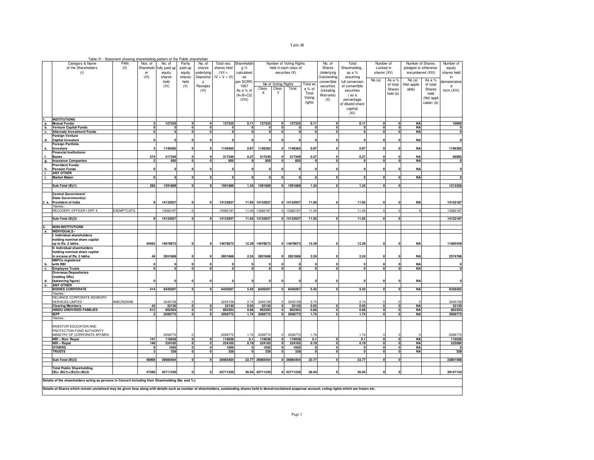|--|--|

|    | Table III - Statement showing shareholding pattern of the Public shareholder                                                                                                                                   |                   |             |                  |                             |                         |                           |                  |                 |                                     |                         |                     |                           |                     |                                         |                              |                        |                          |                   |
|----|----------------------------------------------------------------------------------------------------------------------------------------------------------------------------------------------------------------|-------------------|-------------|------------------|-----------------------------|-------------------------|---------------------------|------------------|-----------------|-------------------------------------|-------------------------|---------------------|---------------------------|---------------------|-----------------------------------------|------------------------------|------------------------|--------------------------|-------------------|
|    | Category & Name                                                                                                                                                                                                | PAN               | Nos. of     | No. of           | Partly                      | No. of                  | Total nos.                | Shareholdir      |                 |                                     | Number of Voting Rights |                     | No. of                    | Total               | Number of                               |                              | Number of Shares       |                          | Number of         |
|    | of the Shareholders                                                                                                                                                                                            | (11)              | Sharehold   | fully paid up    | paid-up                     | shares                  | shares held               | g %              |                 |                                     | held in each class of   |                     | Shares                    | Shareholding        | Locked in                               |                              | pledged or otherwise   |                          | equity            |
|    | (1)                                                                                                                                                                                                            |                   | er<br>(III) | equity<br>shares | equity<br>shares            | underlying<br>Depositor | $(VII =$<br>$IV + V + VI$ | calculated<br>as | securities IX)  |                                     |                         |                     | Underlying<br>Outstanding | as a %<br>assuming  | shares (XII)                            |                              | encumbered (XIII)      |                          | shares held<br>in |
|    |                                                                                                                                                                                                                |                   |             | held             | held                        | <b>V</b>                |                           | per SCRR.        |                 |                                     |                         |                     | convertible               | full conversion     | No.(a)                                  | As a %                       | No.(a)                 | As a %                   | dematerialize     |
|    |                                                                                                                                                                                                                |                   |             | (IV)             | (V)                         | Receipts                |                           | 1957             |                 | No of Voting Rights                 |                         | Total as            | securities                | of convertible      |                                         | of total                     | Not applic             | of total                 | d                 |
|    |                                                                                                                                                                                                                |                   |             |                  |                             | (VI)                    |                           | As a % of        | Class           | Class                               | Total                   | a % of              | (including                | securities          |                                         | Shares                       | able)                  | Shares                   | form (XIV)        |
|    |                                                                                                                                                                                                                |                   |             |                  |                             |                         |                           | $(A+B+C2)$       | Χ               | Y                                   |                         | Total               | Warrants)                 | (as a               |                                         | held (b)                     |                        | held                     |                   |
|    |                                                                                                                                                                                                                |                   |             |                  |                             |                         |                           | (VIII)           |                 |                                     |                         | Voting<br>rights    | (X)                       | percentage          |                                         |                              |                        | (Not appli<br>cable) (b) |                   |
|    |                                                                                                                                                                                                                |                   |             |                  |                             |                         |                           |                  |                 |                                     |                         |                     |                           | of diluted share    |                                         |                              |                        |                          |                   |
|    |                                                                                                                                                                                                                |                   |             |                  |                             |                         |                           |                  |                 |                                     |                         |                     |                           | capital)<br>(XI)    |                                         |                              |                        |                          |                   |
|    |                                                                                                                                                                                                                |                   |             |                  |                             |                         |                           |                  |                 |                                     |                         |                     |                           |                     |                                         |                              |                        |                          |                   |
| а. | <b>INSTITUTIONS</b><br>Mutual Funds/                                                                                                                                                                           |                   |             | 127325           | $\mathbf{0}$                | n                       | 127325                    | 0.11             | 127325          | $\mathbf{0}$                        | 127325                  | 0.11                | $\Omega$                  | 0.11                | $\Omega$                                | $\mathbf{0}$                 | <b>NA</b>              |                          | 10000             |
| b. | <b>Venture Capital Funds</b>                                                                                                                                                                                   |                   |             | $\mathbf 0$      | $\mathbf 0$                 | $\mathbf{0}$            | $\Omega$                  | $\mathbf{0}$     | $\mathbf 0$     | $\pmb{0}$                           | $\Omega$                | $\Omega$            | $\Omega$                  | $\mathbf{0}$        | $\Omega$                                | $\mathbf{0}$                 | <b>NA</b>              |                          | 0                 |
| c. | <b>Alternate Investment Funds</b>                                                                                                                                                                              |                   |             | $\mathbf 0$      | $\mathbf 0$                 |                         | $\mathbf{0}$              | $\Omega$         | $\mathbf 0$     | $\mathbf 0$                         | $\Omega$                | $\mathbf 0$         | $\Omega$                  | $\mathbf 0$         | 0                                       | $\mathbf{0}$                 | <b>NA</b>              |                          | $\pmb{0}$         |
|    | Foreign Venture                                                                                                                                                                                                |                   |             |                  | $\mathbf 0$                 |                         |                           |                  | $\mathbf{0}$    | $\Omega$                            | ſ                       | $\Omega$            | $\Omega$                  | $\Omega$            | $\mathbf{c}$                            | C                            |                        |                          | $\pmb{0}$         |
| d. | <b>Capital Investors</b><br><b>Foreign Portfolio</b>                                                                                                                                                           |                   |             |                  |                             |                         |                           |                  |                 |                                     |                         |                     |                           |                     |                                         |                              | <b>NA</b>              |                          |                   |
| е. | Investors                                                                                                                                                                                                      |                   |             | 1146365          | $\Omega$                    |                         | 1146365                   | 0.97             | 1146365         | $\mathbf{0}$                        | 1146365                 | 0.97                |                           | 0.97                | $\mathbf{c}$                            |                              | <b>NA</b>              |                          | 1146365           |
|    | <b>Financial Institutions/</b>                                                                                                                                                                                 |                   |             |                  |                             |                         |                           |                  |                 |                                     |                         |                     |                           |                     |                                         |                              |                        |                          |                   |
|    | <b>Banks</b><br><b>Insurance Companies</b>                                                                                                                                                                     |                   | 274         | 317349<br>850    | $\mathbf 0$<br>$\Omega$     |                         | 317349<br>850             | 0.27<br>$\Omega$ | 317349<br>850   | n<br>$\mathbf{0}$                   | 317349<br>850           | 0.27<br>$\mathbf 0$ | $\Omega$                  | 0.27<br>$\mathbf 0$ | $\mathbf{0}$                            | $\mathbf{0}$                 | <b>NA</b><br><b>NA</b> |                          | 56993             |
| g. | Provident Funds/                                                                                                                                                                                               |                   |             |                  |                             |                         |                           |                  |                 |                                     |                         |                     |                           |                     |                                         |                              |                        |                          |                   |
| h. | <b>Pension Funds</b>                                                                                                                                                                                           |                   |             |                  | $\Omega$                    |                         |                           |                  | n               |                                     |                         |                     |                           | O                   |                                         |                              | <b>NA</b>              |                          | 0                 |
| i. | <b>ANY OTHER</b>                                                                                                                                                                                               |                   |             |                  | $\Omega$                    |                         |                           |                  |                 | n                                   |                         |                     | $\mathbf{a}$              |                     |                                         |                              |                        |                          |                   |
| i. | <b>Market Maker</b>                                                                                                                                                                                            |                   |             |                  |                             |                         |                           |                  | $\Omega$        |                                     |                         |                     |                           | $\mathbf{0}$        | 0                                       | O                            | <b>NA</b>              |                          | $\Omega$          |
|    | Sub-Total (B)(1)                                                                                                                                                                                               |                   | 282         | 1591889          | $\mathbf{0}$                | $\Omega$                | 1591889                   | 1.34             | 1591889         |                                     | 0 1591889               | 1.34                | $\Omega$                  | 1.34                | $\mathbf{0}$                            | $\mathbf{0}$                 |                        |                          | 1213358           |
|    |                                                                                                                                                                                                                |                   |             |                  |                             |                         |                           |                  |                 |                                     |                         |                     |                           |                     |                                         |                              |                        |                          |                   |
|    | Central Government/                                                                                                                                                                                            |                   |             |                  |                             |                         |                           |                  |                 |                                     |                         |                     |                           |                     |                                         |                              |                        |                          |                   |
|    | State Government(s)/<br>President of India                                                                                                                                                                     |                   |             | 14133937         | $\Omega$                    |                         | 14133937                  |                  | 11.93 14133937  |                                     | 0 14133937              | 11.93               |                           | 11.93               |                                         |                              | <b>NA</b>              |                          | 14132187          |
|    | Names                                                                                                                                                                                                          |                   |             |                  |                             |                         |                           |                  |                 |                                     |                         |                     |                           |                     |                                         |                              |                        |                          |                   |
|    | RECOVERY OFFICER I DRT II                                                                                                                                                                                      | <b>EXEMPTCATG</b> |             | 13082187         |                             |                         | 13082187                  |                  | 11.04 13082187  |                                     | 0 13082187              | 11.04               |                           | 11.04               |                                         | n                            |                        |                          | 13082187          |
|    | Sub-Total (B)(2)                                                                                                                                                                                               |                   |             | 14133937         |                             |                         | 14133937                  |                  | 11.93 14133937  |                                     | 0 14133937              | 11.93               |                           | 11.93               |                                         | O                            |                        |                          | 14132187          |
|    |                                                                                                                                                                                                                |                   |             |                  |                             |                         |                           |                  |                 |                                     |                         |                     |                           |                     |                                         |                              |                        |                          |                   |
|    | <b>NON-INSTITUTIONS</b>                                                                                                                                                                                        |                   |             |                  |                             |                         |                           |                  |                 |                                     |                         |                     |                           |                     |                                         |                              |                        |                          |                   |
| а. | INDIVIDUALS -                                                                                                                                                                                                  |                   |             |                  |                             |                         |                           |                  |                 |                                     |                         |                     |                           |                     |                                         |                              |                        |                          |                   |
|    | I. Individual shareholders<br>holding nominal share capital                                                                                                                                                    |                   |             |                  |                             |                         |                           |                  |                 |                                     |                         |                     |                           |                     |                                         |                              |                        |                          |                   |
|    | up to Rs. 2 lakhs.                                                                                                                                                                                             |                   | 45562       | 14678673         | $\mathbf{0}$                |                         | 14678673                  |                  | 12.39 14678673  |                                     | 0 14678673              | 12.39               |                           | 12.39               |                                         |                              | <b>NA</b>              |                          | 11665439          |
|    | II. Individual shareholders                                                                                                                                                                                    |                   |             |                  |                             |                         |                           |                  |                 |                                     |                         |                     |                           |                     |                                         |                              |                        |                          |                   |
|    | holding nominal share capital<br>in excess of Rs. 2 lakhs.                                                                                                                                                     |                   | 44          | 2651668          | $\mathbf 0$                 |                         | 2651668                   | 2.24             | 2651668         | $\mathbf 0$                         | 2651668                 | 2.24                |                           | 2.24                | £                                       |                              | <b>NA</b>              |                          | 2574796           |
|    | <b>NBFCs registered</b>                                                                                                                                                                                        |                   |             |                  |                             |                         |                           |                  |                 |                                     |                         |                     |                           |                     |                                         |                              |                        |                          |                   |
| b. | with RBI                                                                                                                                                                                                       |                   |             |                  |                             |                         |                           |                  |                 |                                     |                         |                     |                           |                     |                                         |                              | <b>NA</b>              |                          |                   |
| c. | <b>Employee Trusts</b>                                                                                                                                                                                         |                   | n           | $\mathbf{0}$     | $\Omega$                    | n                       | 0                         | $\Omega$         | 0               | $\Omega$                            | $\Omega$                | $\Omega$            | $\Omega$                  | $\Omega$            | $\Omega$                                | $\mathbf{0}$                 | <b>NA</b>              |                          | $\mathbf 0$       |
|    | <b>Overseas Depositories</b><br>(holding DRs)                                                                                                                                                                  |                   |             |                  |                             |                         |                           |                  |                 |                                     |                         |                     |                           |                     |                                         |                              |                        |                          |                   |
| d. | (balancing figure)                                                                                                                                                                                             |                   |             |                  |                             |                         |                           |                  | 0               |                                     |                         | $\Omega$            |                           |                     |                                         |                              | <b>NA</b>              |                          | $\mathbf{0}$      |
| е. | ANY OTHER                                                                                                                                                                                                      |                   |             |                  | $\Omega$                    |                         |                           |                  |                 | οI                                  |                         |                     | $\mathbf{a}$              |                     | $\mathbf{0}$                            |                              |                        |                          |                   |
|    | <b>BODIES CORPORATE</b><br>Names:                                                                                                                                                                              |                   | 414         | 6420267          |                             |                         | 6420267                   | 5.42             | 6420267         |                                     | 6420267                 | 5.42                |                           | 5.42                |                                         |                              | <b>NA</b>              |                          | 6328202           |
|    | RELIANCE CORPORATE ADVISORY                                                                                                                                                                                    |                   |             |                  |                             |                         |                           |                  |                 |                                     |                         |                     |                           |                     |                                         |                              |                        |                          |                   |
|    | SERVICES LIMITED                                                                                                                                                                                               | AAECR2504B        |             | 3245158          |                             |                         | 3245158                   | 2.74             | 3245158         | $\Omega$                            | 3245158                 | 2.74                |                           | 2.74                |                                         |                              |                        |                          | 3245158           |
|    | <b>Clearing Members</b><br>HINDU UNDIVIDED FAMILIES                                                                                                                                                            |                   | 42<br>612   | 32130<br>802303  | $\mathbf{0}$<br>$\mathbf 0$ |                         | 32130<br>802303           | 0.03<br>0.68     | 32130<br>802303 | $\mathbf{0}$<br>$\mathbf{0}$        | 32130<br>802303         | 0.03<br>0.68        | $\Omega$<br>$\mathbf{a}$  | 0.03<br>0.68        | $\mathbf{0}$<br>0                       | $\mathbf{0}$<br>0            | <b>NA</b><br><b>NA</b> |                          | 32130<br>802303   |
|    | <b>IEPF</b>                                                                                                                                                                                                    |                   |             | 2058772          | $\mathbf 0$                 |                         | 2058772                   | 1.74             | 2058772         | $\overline{\mathbf{0}}$             | 2058772                 | 1.74                | $\Omega$                  | 1.74                | $\mathbf{0}$                            | $\mathbf{0}$                 | <b>NA</b>              |                          | 2058772           |
|    | Names                                                                                                                                                                                                          |                   |             |                  |                             |                         |                           |                  |                 |                                     |                         |                     |                           |                     |                                         |                              |                        |                          |                   |
|    |                                                                                                                                                                                                                |                   |             |                  |                             |                         |                           |                  |                 |                                     |                         |                     |                           |                     |                                         |                              |                        |                          |                   |
|    | <b>INVESTOR EDUCATION AND</b><br>PROTECTION FUND AUTHORITY                                                                                                                                                     |                   |             |                  |                             |                         |                           |                  |                 |                                     |                         |                     |                           |                     |                                         |                              |                        |                          |                   |
|    | MINISTRY OF CORPORATE AFFAIRS                                                                                                                                                                                  |                   |             | 2058772          | $\Omega$                    |                         | 2058772                   | 1.74             | 2058772         | $\Omega$                            | 2058772                 | 1.74                |                           | 1.74                |                                         |                              |                        |                          | 2058772           |
|    | NRI - Non- Repat                                                                                                                                                                                               |                   | 141         | 116038           | $\pmb{0}$                   | $\mathbf{0}$            | 116038                    | 0.1              | 116038          | 0                                   | 116038                  | 0.1                 | $\mathbf{a}$              | 0.1                 | $\mathbf{0}$                            | $\mathbf{0}$                 | <b>NA</b>              |                          | 116038            |
|    | NRI-Repat<br><b>OTHERS</b>                                                                                                                                                                                     |                   | 140         | 224165<br>1050   | ō<br>$\Omega$               | $\Omega$<br>$\Omega$    | 224165<br>1050            | 0.19<br>$\Omega$ | 224165<br>1050  | $\overline{\mathbf{0}}$<br>$\Omega$ | 224165<br>1050          | 0.19<br>$\Omega$    | $\Omega$<br>$\Omega$      | 0.19<br>$\Omega$    | $\overline{\mathbf{0}}$<br>$\mathbf{0}$ | $\mathbf{0}$<br>$\mathbf{0}$ | <b>NA</b><br><b>NA</b> |                          | 223580            |
|    | <b>TRUSTS</b>                                                                                                                                                                                                  |                   |             | 338              | $\Omega$                    | $\mathbf{0}$            | 338                       | $\mathbf 0$      | 338             | $\Omega$                            | 338                     | $\mathbf 0$         | $\mathbf 0$               | $\mathbf 0$         | $\mathbf{0}$                            | $\mathbf{0}$                 | <b>NA</b>              |                          | 338               |
|    |                                                                                                                                                                                                                |                   |             |                  |                             |                         |                           |                  |                 |                                     |                         |                     |                           |                     |                                         |                              |                        |                          |                   |
|    | Sub-Total (B)(3)                                                                                                                                                                                               |                   | 46969       | 26985404         | $\Omega$                    | $\Omega$                | 26985404                  |                  | 22.77 26985404  |                                     | 0 26985404              | 22.77               | $\mathbf{a}$              | 22.77               | $\Omega$                                | $\Omega$                     |                        |                          | 23801598          |
|    | <b>Total Public Shareholding</b>                                                                                                                                                                               |                   |             |                  |                             |                         |                           |                  |                 |                                     |                         |                     |                           |                     |                                         |                              |                        |                          |                   |
|    | 47260<br>0 42711230<br>42711230<br>42711230<br>36.04 42711230<br>36.04<br>36.04<br>$(B)=(B)(1)+(B)(2)+(B)(3)$<br>$\Omega$<br>O                                                                                 |                   |             |                  |                             |                         |                           |                  |                 |                                     |                         |                     |                           | 39147143            |                                         |                              |                        |                          |                   |
|    | Details of the shareholders acting as persons in Concert including their Shareholding (No. and %):                                                                                                             |                   |             |                  |                             |                         |                           |                  |                 |                                     |                         |                     |                           |                     |                                         |                              |                        |                          |                   |
|    |                                                                                                                                                                                                                |                   |             |                  |                             |                         |                           |                  |                 |                                     |                         |                     |                           |                     |                                         |                              |                        |                          |                   |
|    | Details of Shares which remain unclaimed may be given hear along with details such as number of shareholders, outstanding shares held in demat/unclaimed suspense account, voting rights which are frozen etc. |                   |             |                  |                             |                         |                           |                  |                 |                                     |                         |                     |                           |                     |                                         |                              |                        |                          |                   |